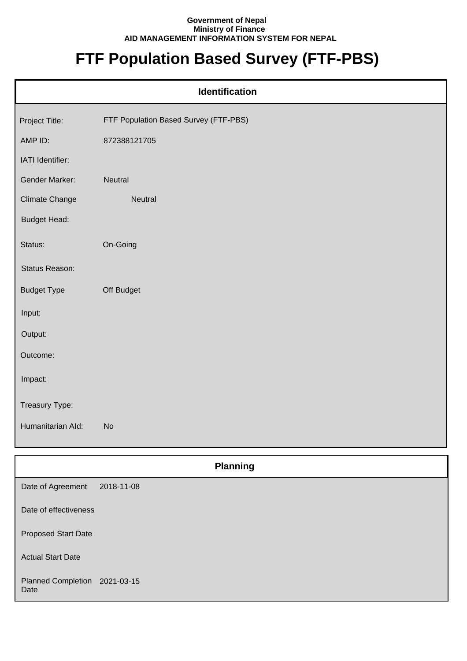## **Government of Nepal Ministry of Finance AID MANAGEMENT INFORMATION SYSTEM FOR NEPAL**

## **FTF Population Based Survey (FTF-PBS)**

| <b>Identification</b> |                                       |  |
|-----------------------|---------------------------------------|--|
| Project Title:        | FTF Population Based Survey (FTF-PBS) |  |
| AMP ID:               | 872388121705                          |  |
| IATI Identifier:      |                                       |  |
| Gender Marker:        | Neutral                               |  |
| <b>Climate Change</b> | Neutral                               |  |
| <b>Budget Head:</b>   |                                       |  |
| Status:               | On-Going                              |  |
| Status Reason:        |                                       |  |
| <b>Budget Type</b>    | Off Budget                            |  |
| Input:                |                                       |  |
| Output:               |                                       |  |
| Outcome:              |                                       |  |
| Impact:               |                                       |  |
| Treasury Type:        |                                       |  |
| Humanitarian Ald:     | <b>No</b>                             |  |

|                                       | <b>Planning</b> |  |
|---------------------------------------|-----------------|--|
| Date of Agreement                     | 2018-11-08      |  |
| Date of effectiveness                 |                 |  |
| <b>Proposed Start Date</b>            |                 |  |
| <b>Actual Start Date</b>              |                 |  |
| Planned Completion 2021-03-15<br>Date |                 |  |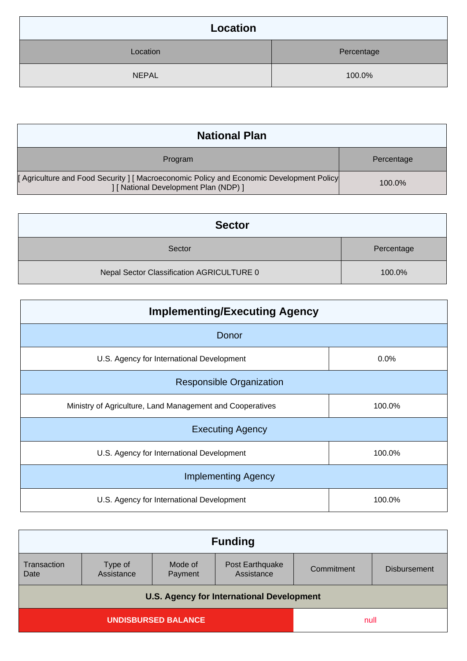| <b>Location</b> |            |
|-----------------|------------|
| Location        | Percentage |
| <b>NEPAL</b>    | 100.0%     |

| <b>National Plan</b>                                                                                                         |            |
|------------------------------------------------------------------------------------------------------------------------------|------------|
| Program                                                                                                                      | Percentage |
| [Agriculture and Food Security] [Macroeconomic Policy and Economic Development Policy<br>[ National Development Plan (NDP) ] | 100.0%     |

| <b>Sector</b>                             |            |
|-------------------------------------------|------------|
| Sector                                    | Percentage |
| Nepal Sector Classification AGRICULTURE 0 | 100.0%     |

| <b>Implementing/Executing Agency</b>                      |        |  |
|-----------------------------------------------------------|--------|--|
| Donor                                                     |        |  |
| U.S. Agency for International Development                 | 0.0%   |  |
| <b>Responsible Organization</b>                           |        |  |
| Ministry of Agriculture, Land Management and Cooperatives | 100.0% |  |
| <b>Executing Agency</b>                                   |        |  |
| U.S. Agency for International Development                 | 100.0% |  |
| <b>Implementing Agency</b>                                |        |  |
| U.S. Agency for International Development                 | 100.0% |  |

| <b>Funding</b>                                   |                       |                    |                               |            |                     |
|--------------------------------------------------|-----------------------|--------------------|-------------------------------|------------|---------------------|
| Transaction<br>Date                              | Type of<br>Assistance | Mode of<br>Payment | Post Earthquake<br>Assistance | Commitment | <b>Disbursement</b> |
| <b>U.S. Agency for International Development</b> |                       |                    |                               |            |                     |
| UNDISBURSED BALANCE                              |                       |                    |                               |            |                     |
| null                                             |                       |                    |                               |            |                     |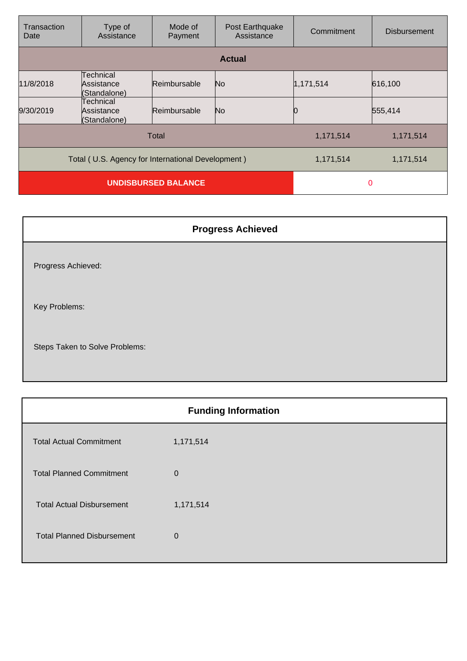| Transaction<br>Date                               | Type of<br>Assistance                   | Mode of<br>Payment | Post Earthquake<br>Assistance | Commitment | <b>Disbursement</b> |
|---------------------------------------------------|-----------------------------------------|--------------------|-------------------------------|------------|---------------------|
|                                                   |                                         |                    | <b>Actual</b>                 |            |                     |
| 11/8/2018                                         | Technical<br>Assistance<br>(Standalone) | Reimbursable       | No.                           | 1,171,514  | 616,100             |
| 9/30/2019                                         | Technical<br>Assistance<br>(Standalone) | Reimbursable       | No.                           |            | 555,414             |
| Total                                             |                                         |                    | 1,171,514                     | 1,171,514  |                     |
| Total (U.S. Agency for International Development) |                                         |                    | 1,171,514                     | 1,171,514  |                     |
| <b>UNDISBURSED BALANCE</b>                        |                                         |                    | $\Omega$                      |            |                     |

| <b>Progress Achieved</b>       |  |
|--------------------------------|--|
| Progress Achieved:             |  |
| Key Problems:                  |  |
| Steps Taken to Solve Problems: |  |

|                                   | <b>Funding Information</b> |
|-----------------------------------|----------------------------|
| <b>Total Actual Commitment</b>    | 1,171,514                  |
| <b>Total Planned Commitment</b>   | $\mathbf 0$                |
| <b>Total Actual Disbursement</b>  | 1,171,514                  |
| <b>Total Planned Disbursement</b> | $\mathbf 0$                |
|                                   |                            |